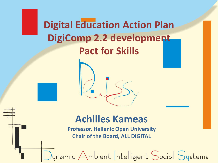**Digital Education Action Plan DigiComp 2.2 development Pact for Skills**



#### **Achilles Kameas**

**Professor, Hellenic Open University Chair of the Board, ALL DIGITAL**

Dynamic Ambient Intelligent Social Systems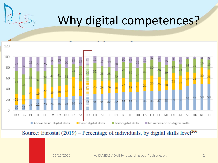## Why digital competences?



Source: Eurostat (2019) – Percentage of individuals, by digital skills level<sup>266</sup>

11/12/2020 Α. ΚΑΜΕΑΣ / DAISSy research group / daissy.eap.gr 2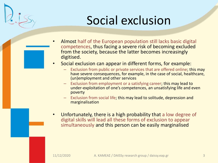## Social exclusion

- Almost half of the European population still lacks basic digital competences, thus facing a severe risk of becoming excluded from the society, because the latter becomes increasingly digitised.
- Social exclusion can appear in different forms, for example:
	- Exclusion from public or private services that are offered online; this may have severe consequences, for example, in the case of social, healthcare, (un)employment and other services
	- **Exclusion from employment or a satisfying career; this may lead to** under-exploitation of one's competences, an unsatisfying life and even poverty
	- Exclusion from social life; this may lead to solitude, depression and marginalisation
- Unfortunately, there is a high probability that a low degree of digital skills will lead all these forms of exclusion to appear simultaneously and this person can be easily marginalised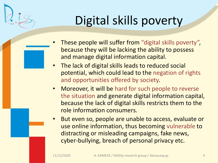## Digital skills poverty

- These people will suffer from "digital skills poverty", because they will be lacking the ability to possess and manage digital information capital.
- The lack of digital skills leads to reduced social potential, which could lead to the negation of rights and opportunities offered by society.
- Moreover, it will be hard for such people to reverse the situation and generate digital information capital, because the lack of digital skills restricts them to the role information consumers.
- But even so, people are unable to access, evaluate or use online information, thus becoming vulnerable to distracting or misleading campaigns, fake news, cyber-bullying, breach of personal privacy etc.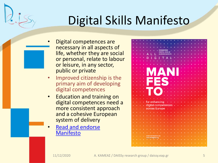## Digital Skills Manifesto

- Digital competences are necessary in all aspects of life, whether they are social or personal, relate to labour or leisure, in any sector, public or private
- Improved citizenship is the primary aim of developing digital competences
- Education and training on digital competences need a more consistent approach and a cohesive European system of delivery
- Read and endorse Manifesto

|  |    |  |                            | <b>ENHANCING</b><br><b>DIGITAL SKILLS</b> |  |  |  |  |  |  |  |
|--|----|--|----------------------------|-------------------------------------------|--|--|--|--|--|--|--|
|  |    |  |                            | <b>ACROSS EUROPE</b>                      |  |  |  |  |  |  |  |
|  |    |  | G                          |                                           |  |  |  |  |  |  |  |
|  |    |  |                            |                                           |  |  |  |  |  |  |  |
|  |    |  |                            |                                           |  |  |  |  |  |  |  |
|  |    |  |                            |                                           |  |  |  |  |  |  |  |
|  |    |  |                            |                                           |  |  |  |  |  |  |  |
|  |    |  |                            | $\boldsymbol{\mathcal{L}}$                |  |  |  |  |  |  |  |
|  |    |  |                            |                                           |  |  |  |  |  |  |  |
|  |    |  |                            |                                           |  |  |  |  |  |  |  |
|  |    |  |                            |                                           |  |  |  |  |  |  |  |
|  |    |  |                            |                                           |  |  |  |  |  |  |  |
|  |    |  |                            |                                           |  |  |  |  |  |  |  |
|  |    |  |                            |                                           |  |  |  |  |  |  |  |
|  |    |  |                            |                                           |  |  |  |  |  |  |  |
|  |    |  |                            |                                           |  |  |  |  |  |  |  |
|  | ä, |  |                            | for enhancing                             |  |  |  |  |  |  |  |
|  |    |  |                            | digital competences                       |  |  |  |  |  |  |  |
|  |    |  |                            | across Europe                             |  |  |  |  |  |  |  |
|  |    |  |                            |                                           |  |  |  |  |  |  |  |
|  |    |  |                            |                                           |  |  |  |  |  |  |  |
|  |    |  |                            |                                           |  |  |  |  |  |  |  |
|  |    |  |                            |                                           |  |  |  |  |  |  |  |
|  |    |  |                            |                                           |  |  |  |  |  |  |  |
|  |    |  |                            |                                           |  |  |  |  |  |  |  |
|  |    |  |                            |                                           |  |  |  |  |  |  |  |
|  |    |  | <b>MORE INFORMATION ON</b> |                                           |  |  |  |  |  |  |  |
|  |    |  | all-digital.org            |                                           |  |  |  |  |  |  |  |
|  |    |  |                            |                                           |  |  |  |  |  |  |  |
|  |    |  |                            |                                           |  |  |  |  |  |  |  |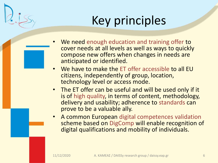## Key principles

- We need enough education and training offer to cover needs at all levels as well as ways to quickly compose new offers when changes in needs are anticipated or identified.
- We have to make the ET offer accessible to all EU citizens, independently of group, location, technology level or access mode.
- The ET offer can be useful and will be used only if it is of high quality, in terms of content, methodology, delivery and usability; adherence to standards can prove to be a valuable ally.
- A common European digital competences validation scheme based on DigComp will enable recognition of digital qualifications and mobility of individuals.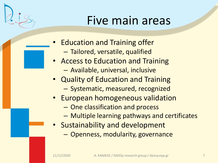### Five main areas

- Education and Training offer
	- Tailored, versatile, qualified
- Access to Education and Training
	- Available, universal, inclusive
- Quality of Education and Training
	- Systematic, measured, recognized
- European homogeneous validation
	- One classification and process
	- Multiple learning pathways and certificates
- Sustainability and development
	- Openness, modularity, governance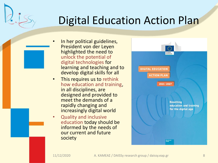#### Digital Education Action Plan

- In her political guidelines, President von der Leyen highlighted the need to unlock the potential of digital technologies for learning and teaching and to develop digital skills for all
- This requires us to rethink how education and training, in all disciplines, are designed and provided to meet the demands of a rapidly changing and increasingly digital world
- Quality and inclusive education today should be informed by the needs of our current and future society

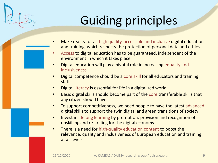## Guiding principles

- Make reality for all high quality, accessible and inclusive digital education and training, which respects the protection of personal data and ethics
- Access to digital education has to be guaranteed, independent of the environment in which it takes place
- Digital education will play a pivotal role in increasing equality and inclusiveness
- Digital competence should be a core skill for all educators and training staff
- Digital literacy is essential for life in a digitalized world
- Basic digital skills should become part of the core transferable skills that any citizen should have
- To support competitiveness, we need people to have the latest advanced digital skills to support the twin digital and green transitions of society
- Invest in lifelong learning by promotion, provision and recognition of upskilling and re-skilling for the digital economy
- There is a need for high-quality education content to boost the relevance, quality and inclusiveness of European education and training at all levels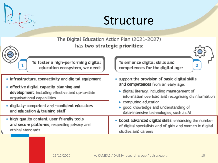



The Digital Education Action Plan (2021-2027) has two strategic priorities: To foster a high-performing digital To enhance digital skills and 2 education ecosystem, we need: competences for the digital age: • infrastructure, connectivity and digital equipment • support the provision of basic digital skills and competences from an early age: • effective digital capacity planning and  $\triangleright$  digital literacy, including management of development, including effective and up-to-date information overload and recognising disinformation organisational capabilities  $\triangleright$  computing education · digitally-competent and -confident educators ► good knowledge and understanding of and education & training staff data-intensive technologies, such as Al . high-quality content, user-friendly tools . boost advanced digital skills: enhancing the number and secure platforms, respecting privacy and of digital specialists and of girls and women in digital ethical standards studies and careers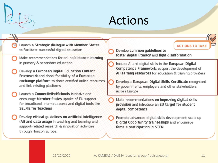### Actions

Launch a Strategic dialogue with Member States to facilitate successful digital education

- Make recommendations for online/distance learning in primary & secondary education
- Develop a European Digital Education Content Framework and check feasibility of a European exchange platform to share certified online resources and link existing platforms
- Launch a Connectivity4Schools initiative and encourage Member States uptake of EU support for broadband, internet access and digital tools like **SELFIE for Teachers**
- Develop ethical quidelines on artificial intelligence (AI) and data usage in teaching and learning and support-related research & innovation activities through Horizon Europe.

Develop common guidelines to foster digital literacy and fight disinformation

- Include AI and digital skills in the European Digital Competence Framework; support the development of Al learning resources for education & training providers
- Develop a European Digital Skills Certificate recognised by governments, employers and other stakeholders across Europe
- Make recommendations on improving digital skills provision and introduce an EU target for student digital competence
- Promote advanced digital skills development; scale up Digital Opportunity traineeships and encourage female participation in STEM

**ACTIONS TO TAKE**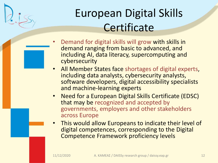### European Digital Skills **Certificate**

- Demand for digital skills will grow with skills in demand ranging from basic to advanced, and including AI, data literacy, supercomputing and cybersecurity
- All Member States face shortages of digital experts, including data analysts, cybersecurity analysts, software developers, digital accessibility specialists and machine-learning experts
- Need for a European Digital Skills Certificate (EDSC) that may be recognized and accepted by governments, employers and other stakeholders across Europe
- This would allow Europeans to indicate their level of digital competences, corresponding to the Digital Competence Framework proficiency levels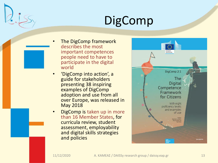## DigComp

- The DigComp framework describes the most important competences people need to have to participate in the digital world
- 'DigComp into action', a guide for stakeholders presenting 38 inspiring examples of DigComp adoption and use from all over Europe, was released in May 2018
- **DigComp is taken up in more** than 16 Member States, for curricula review, student assessment, employability and digital skills strategies and policies

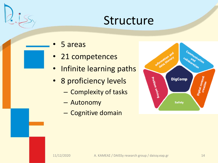#### Structure

- 5 areas
- 21 competences
- Infinite learning paths
- 8 proficiency levels
	- Complexity of tasks
	- Autonomy
	- Cognitive domain

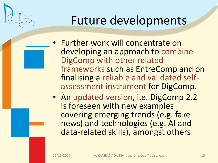### Future developments

- Further work will concentrate on developing an approach to combine DigComp with other related frameworks such as EntreComp and on finalising a reliable and validated selfassessment instrument for DigComp.
- An updated version, i.e. DigComp 2.2 is foreseen with new examples covering emerging trends (e.g. fake news) and technologies (e.g. AI and data-related skills), amongst others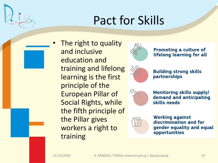## Pact for Skills

The right to quality and inclusive education and training and lifelong learning is the first principle of the European Pillar of Social Rights, while the fifth principle of the Pillar gives workers a right to training



Promoting a culture of lifelong learning for all



**Building strong skills** partnerships



**Monitoring skills supply/** demand and anticipating skills needs



**Working against** discrimination and for gender equality and equal opportunities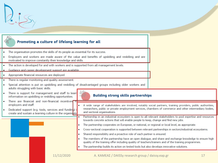| Promoting a culture of lifelong learning for all                                                                                                                                                                                                               |                                                                                                                                                                                                                        |  |  |  |  |  |  |  |
|----------------------------------------------------------------------------------------------------------------------------------------------------------------------------------------------------------------------------------------------------------------|------------------------------------------------------------------------------------------------------------------------------------------------------------------------------------------------------------------------|--|--|--|--|--|--|--|
| The organisation promotes the skills of its people as essential for its success.<br>Employers and workers are made aware of the value and benefits of upskilling and reskilling and are<br>motivated to improve constantly their knowledge and skills.         |                                                                                                                                                                                                                        |  |  |  |  |  |  |  |
| The action is developed for and with workers and is supported from all management levels.<br>Guidance and career development support are available.                                                                                                            |                                                                                                                                                                                                                        |  |  |  |  |  |  |  |
| Appropriate financial resources are deployed.<br>There is regular monitoring and quality assessment.<br>Special attention is put on upskilling and reskilling of disadvantaged groups including older workers and<br>۰<br>adults struggling with basic skills. |                                                                                                                                                                                                                        |  |  |  |  |  |  |  |
| 49<br>There is support for management and staff to learr<br><b>Building strong skills partnerships</b><br>information on upskilling or reskilling opportunities.                                                                                               |                                                                                                                                                                                                                        |  |  |  |  |  |  |  |
| There are financial and non-financial incentives To<br>employers and staff.<br>Dedicated support (e.g. tools, services and funding) i<br>and sectoral organisations.<br>create and sustain a learning culture in the organisation                              | A wide range of stakeholders are involved, notably social partners, training providers, public authorities,<br>researchers, public or private employment services, chambers of commerce and other intermediary bodies, |  |  |  |  |  |  |  |
| towards concrete actions that will enable people to keep, change and find new jobs.<br>The partnership cooperates on European, or national, or regional or local level, as appropriate.                                                                        | Partnership in an industrial ecosystem is open to all relevant stakeholders to pool expertise and resources                                                                                                            |  |  |  |  |  |  |  |
| Shared responsibility and a proactive role of each partner is ensured.                                                                                                                                                                                         | Cross-sectoral cooperation is supported between relevant partnerships in sectors/industrial ecosystems.                                                                                                                |  |  |  |  |  |  |  |
| quality of the training offer including quality of teachers/trainers and of the training programmes.<br>The partnership builds its action on tested tools but also develops innovative solutions.                                                              | The members of the partnership have an open dialogue, and share and exchange knowledge to ensure high                                                                                                                  |  |  |  |  |  |  |  |
| 11/12/2020<br>A. KAMEAΣ / DAISSy research group / daissy.eap.gr                                                                                                                                                                                                | 17                                                                                                                                                                                                                     |  |  |  |  |  |  |  |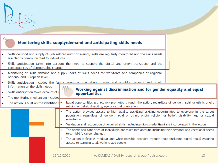|                                                                                                                                                  | Monitoring skills supply/demand and anticipating skills needs                                                                                                                                                                                                                                                                                       |  |  |  |  |  |  |
|--------------------------------------------------------------------------------------------------------------------------------------------------|-----------------------------------------------------------------------------------------------------------------------------------------------------------------------------------------------------------------------------------------------------------------------------------------------------------------------------------------------------|--|--|--|--|--|--|
| are clearly communicated to individuals.                                                                                                         | Skills demand and supply of (job-related and transversal) skills are regularly monitored and the skills needs                                                                                                                                                                                                                                       |  |  |  |  |  |  |
| Skills anticipation takes into account the need to support the digital and green transitions and the<br>۰<br>consequences of demographic change. |                                                                                                                                                                                                                                                                                                                                                     |  |  |  |  |  |  |
| Monitoring of skills demand and supply looks at skills needs for workforce and companies at regional,<br>national and European level.            |                                                                                                                                                                                                                                                                                                                                                     |  |  |  |  |  |  |
| ۰<br>information on the skills needs.<br>Skills anticipation takes account of<br>۰<br>The monitoring mechanism includes                          | Skills anticipation includes the fast channes on the labour market and provides relevant and timely<br><u>000</u><br>Working against discrimination and for gender equality and equal<br>$\{ \}$<br>opportunities                                                                                                                                   |  |  |  |  |  |  |
| The action is built on the identified $\blacksquare$                                                                                             | Equal opportunities are actively promoted through the action, regardless of gender, racial or ethnic origin,<br>religion or belief, disability, age or sexual orientation;                                                                                                                                                                          |  |  |  |  |  |  |
|                                                                                                                                                  | The action provides access to high quality upskilling/reskilling opportunities to everyone in the target<br>population, regardless of gender, racial or ethnic origin, religion or belief, disability, age or sexual<br>orientation.<br>Validation and recognition of acquired skills (including micro credentials) are incorporated in the action. |  |  |  |  |  |  |
|                                                                                                                                                  | The needs and capacities of individuals are taken into account, including their personal and vocational needs<br>(e.g. mid-life career change);                                                                                                                                                                                                     |  |  |  |  |  |  |
|                                                                                                                                                  | The action is flexible, modular and when possible provided through tools (including digital tools) ensuring<br>access to learning to all working age people.                                                                                                                                                                                        |  |  |  |  |  |  |
|                                                                                                                                                  | 11/12/2020<br>A. KAMEAΣ / DAISSy research group / daissy.eap.gr<br>18                                                                                                                                                                                                                                                                               |  |  |  |  |  |  |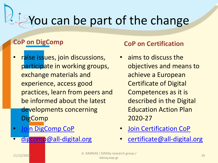# You can be part of the change

#### **CoP on DigComp**

- raise issues, join discussions, participate in working groups, exchange materials and experience, access good practices, learn from peers and be informed about the latest developments concerning DigComp
- [Join DigComp](https://all-digital.org/invitation-to-digcomp-community-of-practice-cop/) CoP
- [digcomp@all-digital.org](mailto:digcomp@all-digital.org)

#### **CoP on Certification**

- aims to discuss the objectives and means to achieve a European Certificate of Digital Competences as it is described in the Digital Education Action Plan 2020-27
- **[Join Certification CoP](https://all-digital.org/join-certification-cop/)**
- [certificate@all-digital.org](mailto:certificate@all-digital.org)